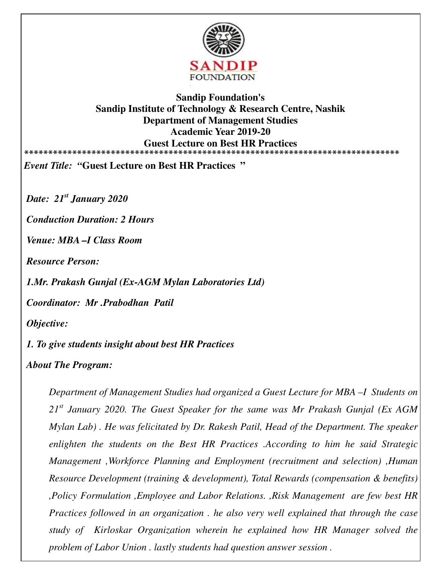

## **Sandip Foundation's Sandip Institute of Technology & Research Centre, Nashik Department of Management Studies Academic Year 2019-20 Guest Lecture on Best HR Practices \*\*\*\*\*\*\*\*\*\*\*\*\*\*\*\*\*\*\*\*\*\*\*\*\*\*\*\*\*\*\*\*\*\*\*\*\*\*\*\*\*\*\*\*\*\*\*\*\*\*\*\*\*\*\*\*\*\*\*\*\*\*\*\*\*\*\*\*\*\*\*\*\*\*\*\*\*\***

*Event Title: "***Guest Lecture on Best HR Practices "**

*Date: 21st January 2020* 

*Conduction Duration: 2 Hours* 

*Venue: MBA –I Class Room* 

*Resource Person:* 

*1.Mr. Prakash Gunjal (Ex-AGM Mylan Laboratories Ltd)* 

*Coordinator: Mr .Prabodhan Patil* 

*Objective:* 

*1. To give students insight about best HR Practices* 

*About The Program:* 

*Department of Management Studies had organized a Guest Lecture for MBA –I Students on 21st January 2020. The Guest Speaker for the same was Mr Prakash Gunjal (Ex AGM Mylan Lab) . He was felicitated by Dr. Rakesh Patil, Head of the Department. The speaker enlighten the students on the Best HR Practices .According to him he said Strategic Management ,Workforce Planning and Employment (recruitment and selection) ,Human Resource Development (training & development), Total Rewards (compensation & benefits) ,Policy Formulation ,Employee and Labor Relations. ,Risk Management are few best HR Practices followed in an organization . he also very well explained that through the case study of Kirloskar Organization wherein he explained how HR Manager solved the problem of Labor Union . lastly students had question answer session .*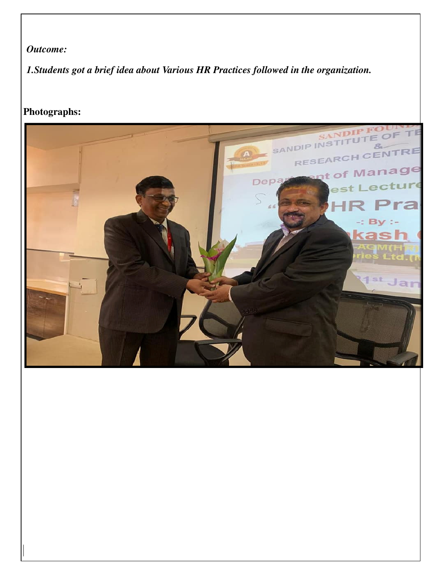## *Outcome:*

*1.Students got a brief idea about Various HR Practices followed in the organization.* 

## **Photographs:**